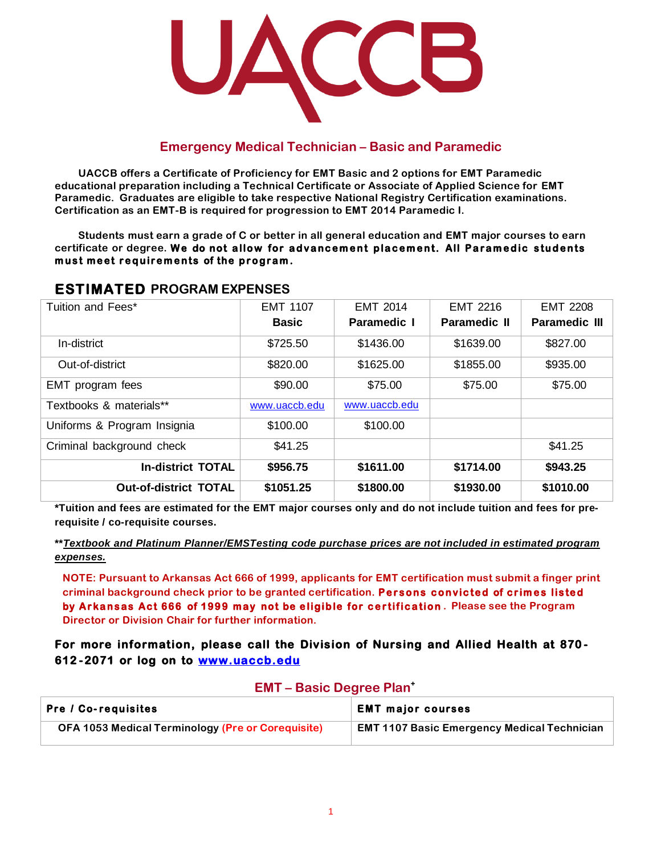

## **Emergency Medical Technician – Basic and Paramedic**

**UACCB offers a Certificate of Proficiency for EMT Basic and 2 options for EMT Paramedic educational preparation including a Technical Certificate or Associate of Applied Science for EMT Paramedic. Graduates are eligible to take respective National Registry Certification examinations. Certification as an EMT-B is required for progression to EMT 2014 Paramedic I.**

Students must earn a grade of C or better in all general education and EMT major courses to earn certificate or degree. We do not allow for advancement placement. All Paramedic students must meet requirements of the program.

| 69 HULA I 69 H NYYIN 60 GHYDGY |                 |                 |                     |                      |  |  |  |
|--------------------------------|-----------------|-----------------|---------------------|----------------------|--|--|--|
| Tuition and Fees*              | <b>EMT 1107</b> | <b>EMT 2014</b> | <b>EMT 2216</b>     | <b>EMT 2208</b>      |  |  |  |
|                                | <b>Basic</b>    | Paramedic I     | <b>Paramedic II</b> | <b>Paramedic III</b> |  |  |  |
| In-district                    | \$725.50        | \$1436.00       | \$1639.00           | \$827.00             |  |  |  |
| Out-of-district                | \$820.00        | \$1625.00       | \$1855.00           | \$935.00             |  |  |  |
| EMT program fees               | \$90.00         | \$75.00         | \$75.00             | \$75.00              |  |  |  |
| Textbooks & materials**        | www.uaccb.edu   | www.uaccb.edu   |                     |                      |  |  |  |
| Uniforms & Program Insignia    | \$100.00        | \$100.00        |                     |                      |  |  |  |
| Criminal background check      | \$41.25         |                 |                     | \$41.25              |  |  |  |
| <b>In-district TOTAL</b>       | \$956.75        | \$1611.00       | \$1714.00           | \$943.25             |  |  |  |
| <b>Out-of-district TOTAL</b>   | \$1051.25       | \$1800.00       | \$1930.00           | \$1010.00            |  |  |  |

## **ESTIMATED PROGRAM EXPENSES**

\*Tuition and fees are estimated for the EMT major courses only and do not include tuition and fees for pre**requisite / co-requisite courses.**

#### **\*\****Textbook and Platinum Planner/EMSTesting code purchase prices are not included in estimated program expenses.*

**NOTE: Pursuant to Arkansas Act 666 of 1999, applicants for EMT certification must submit a finger print**  criminal background check prior to be granted certification. Persons convicted of crimes listed **by Arkansas Act 666 of 1999 may not be eligible for certification**. Please see the Program **Director or Division Chair for further information.**

**For more information, please call the Division of Nursing and Allied Health at 870 - 612 - 2071 or log on to [www.uaccb.edu](http://www.uaccb.edu/)** 

| $L$ <b>N</b> $I$ – Dasic Degree $I$ fail                 |                                                    |  |  |  |
|----------------------------------------------------------|----------------------------------------------------|--|--|--|
| <b>Pre / Co-requisites</b>                               | <b>EMT major courses</b>                           |  |  |  |
| <b>OFA 1053 Medical Terminology (Pre or Corequisite)</b> | <b>EMT 1107 Basic Emergency Medical Technician</b> |  |  |  |

### **EMT – Basic Degree Plan<sup>+</sup>**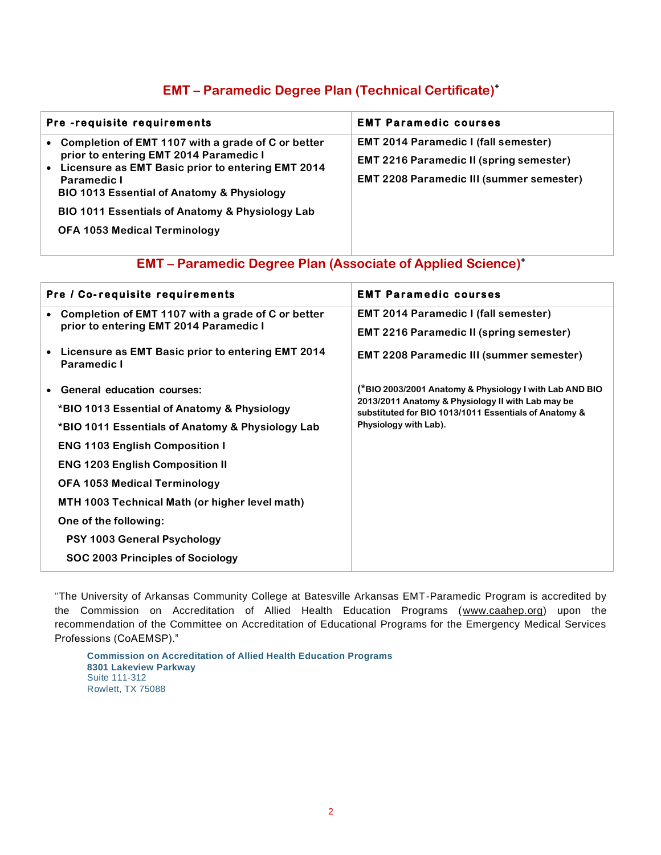## **EMT – Paramedic Degree Plan (Technical Certificate)<sup>+</sup>**

| Pre-requisite requirements                                                                                                                                                                                                                                                                                                     | <b>EMT Paramedic courses</b>                                                                                                                     |
|--------------------------------------------------------------------------------------------------------------------------------------------------------------------------------------------------------------------------------------------------------------------------------------------------------------------------------|--------------------------------------------------------------------------------------------------------------------------------------------------|
| • Completion of EMT 1107 with a grade of C or better<br>prior to entering EMT 2014 Paramedic I<br>• Licensure as EMT Basic prior to entering EMT 2014<br><b>Paramedic I</b><br><b>BIO 1013 Essential of Anatomy &amp; Physiology</b><br>BIO 1011 Essentials of Anatomy & Physiology Lab<br><b>OFA 1053 Medical Terminology</b> | <b>EMT 2014 Paramedic I (fall semester)</b><br><b>EMT 2216 Paramedic II (spring semester)</b><br><b>EMT 2208 Paramedic III (summer semester)</b> |

## **EMT – Paramedic Degree Plan (Associate of Applied Science)<sup>+</sup>**

|                                                    | <b>EMT Paramedic courses</b>                                                                                                                                          |  |  |  |
|----------------------------------------------------|-----------------------------------------------------------------------------------------------------------------------------------------------------------------------|--|--|--|
| Completion of EMT 1107 with a grade of C or better | <b>EMT 2014 Paramedic I (fall semester)</b>                                                                                                                           |  |  |  |
|                                                    | <b>EMT 2216 Paramedic II (spring semester)</b>                                                                                                                        |  |  |  |
| <b>Paramedic I</b>                                 | <b>EMT 2208 Paramedic III (summer semester)</b>                                                                                                                       |  |  |  |
| <b>General education courses:</b>                  | (*BIO 2003/2001 Anatomy & Physiology I with Lab AND BIO<br>2013/2011 Anatomy & Physiology II with Lab may be<br>substituted for BIO 1013/1011 Essentials of Anatomy & |  |  |  |
| *BIO 1013 Essential of Anatomy & Physiology        |                                                                                                                                                                       |  |  |  |
| *BIO 1011 Essentials of Anatomy & Physiology Lab   | Physiology with Lab).                                                                                                                                                 |  |  |  |
| <b>ENG 1103 English Composition I</b>              |                                                                                                                                                                       |  |  |  |
| <b>ENG 1203 English Composition II</b>             |                                                                                                                                                                       |  |  |  |
| <b>OFA 1053 Medical Terminology</b>                |                                                                                                                                                                       |  |  |  |
| MTH 1003 Technical Math (or higher level math)     |                                                                                                                                                                       |  |  |  |
| One of the following:                              |                                                                                                                                                                       |  |  |  |
| PSY 1003 General Psychology                        |                                                                                                                                                                       |  |  |  |
| SOC 2003 Principles of Sociology                   |                                                                                                                                                                       |  |  |  |
|                                                    | Pre / Co-requisite requirements<br>prior to entering EMT 2014 Paramedic I<br>• Licensure as EMT Basic prior to entering EMT 2014                                      |  |  |  |

"The University of Arkansas Community College at Batesville Arkansas EMT-Paramedic Program is accredited by the Commission on Accreditation of Allied Health Education Programs (www.caahep.org) upon the recommendation of the Committee on Accreditation of Educational Programs for the Emergency Medical Services Professions (CoAEMSP)."

**Commission on Accreditation of Allied Health Education Programs 8301 Lakeview Parkway** Suite 111-312 Rowlett, TX 75088